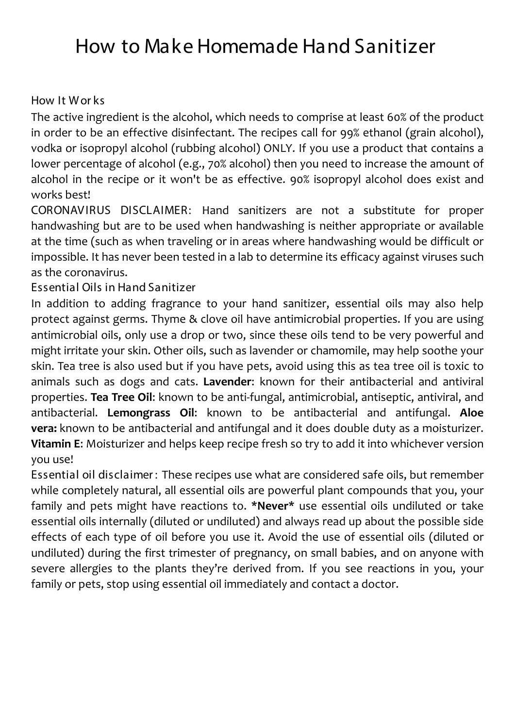# How to Make Homemade Hand Sanitizer

#### How It W or ks

The active ingredient is the alcohol, which needs to comprise at least 60% of the product in order to be an effective disinfectant. The recipes call for 99% ethanol (grain alcohol), vodka or isopropyl alcohol (rubbing alcohol) ONLY. If you use a product that contains a lower percentage of alcohol (e.g., 70% alcohol) then you need to increase the amount of alcohol in the recipe or it won't be as effective. 90% isopropyl alcohol does exist and works best!

CORONAVIRUS DISCLAIMER: Hand sanitizers are not a substitute for proper handwashing but are to be used when handwashing is neither appropriate or available at the time (such as when traveling or in areas where handwashing would be difficult or impossible. It has never been tested in a lab to determine its efficacy against viruses such as the coronavirus.

Essential Oils in Hand Sanitizer

In addition to adding fragrance to your hand sanitizer, essential oils may also help protect against germs. Thyme & clove oil have antimicrobial properties. If you are using antimicrobial oils, only use a drop or two, since these oils tend to be very powerful and might irritate your skin. Other oils, such as lavender or chamomile, may help soothe your skin. Tea tree is also used but if you have pets, avoid using this as tea tree oil is toxic to animals such as dogs and cats. **Lavender**: known for their antibacterial and antiviral properties. **Tea Tree Oil**: known to be anti-fungal, antimicrobial, antiseptic, antiviral, and antibacterial. **Lemongrass Oil**: known to be antibacterial and antifungal. **Aloe vera:** known to be antibacterial and antifungal and it does double duty as a moisturizer. **Vitamin E**: Moisturizer and helps keep recipe fresh so try to add it into whichever version you use!

Essential oil disclaimer : These recipes use what are considered safe oils, but remember while completely natural, all essential oils are powerful plant compounds that you, your family and pets might have reactions to. **\*Never\*** use essential oils undiluted or take essential oils internally (diluted or undiluted) and always read up about the possible side effects of each type of oil before you use it. Avoid the use of essential oils (diluted or undiluted) during the first trimester of pregnancy, on small babies, and on anyone with severe allergies to the plants they're derived from. If you see reactions in you, your family or pets, stop using essential oil immediately and contact a doctor.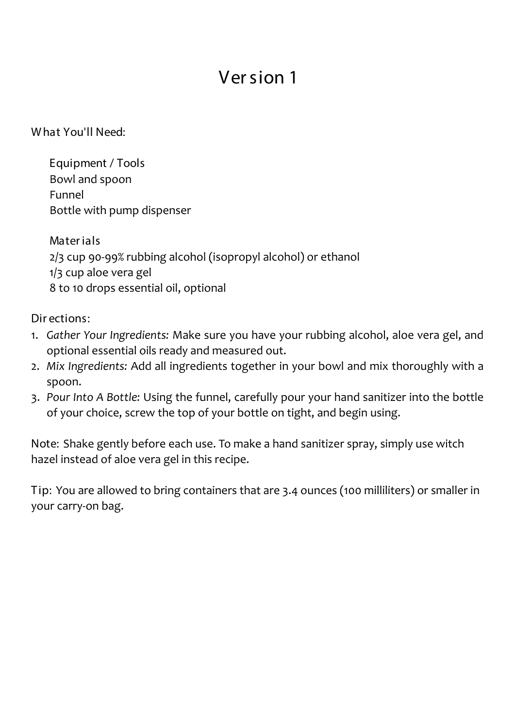W hat You'll Need:

Equipment / Tools Bowl and spoon Funnel Bottle with pump dispenser

Mater ials 2/3 cup 90-99% rubbing alcohol (isopropyl alcohol) or ethanol 1/3 cup aloe vera gel 8 to 10 drops essential oil, optional

Dir ections:

- 1. *Gather Your Ingredients:* Make sure you have your rubbing alcohol, aloe vera gel, and optional essential oils ready and measured out.
- 2. *Mix Ingredients:* Add all ingredients together in your bowl and mix thoroughly with a spoon.
- 3. *Pour Into A Bottle:* Using the funnel, carefully pour your hand sanitizer into the bottle of your choice, screw the top of your bottle on tight, and begin using.

Note: Shake gently before each use. To make a hand sanitizer spray, simply use witch hazel instead of aloe vera gel in this recipe.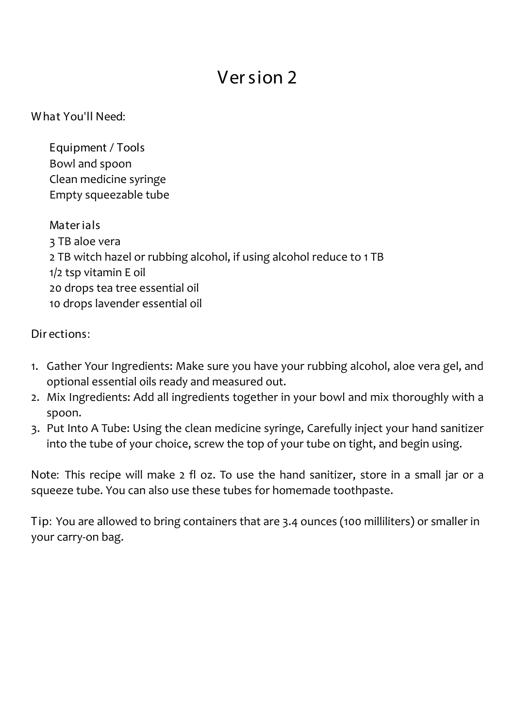W hat You'll Need:

Equipment / Tools Bowl and spoon Clean medicine syringe Empty squeezable tube

### Mater ials

3 TB aloe vera 2 TB witch hazel or rubbing alcohol, if using alcohol reduce to 1 TB 1/2 tsp vitamin E oil 20 drops tea tree essential oil 10 drops lavender essential oil

Dir ections:

- 1. Gather Your Ingredients: Make sure you have your rubbing alcohol, aloe vera gel, and optional essential oils ready and measured out.
- 2. Mix Ingredients: Add all ingredients together in your bowl and mix thoroughly with a spoon.
- 3. Put Into A Tube: Using the clean medicine syringe, Carefully inject your hand sanitizer into the tube of your choice, screw the top of your tube on tight, and begin using.

Note: This recipe will make 2 fl oz. To use the hand sanitizer, store in a small jar or a squeeze tube. You can also use these tubes for homemade toothpaste.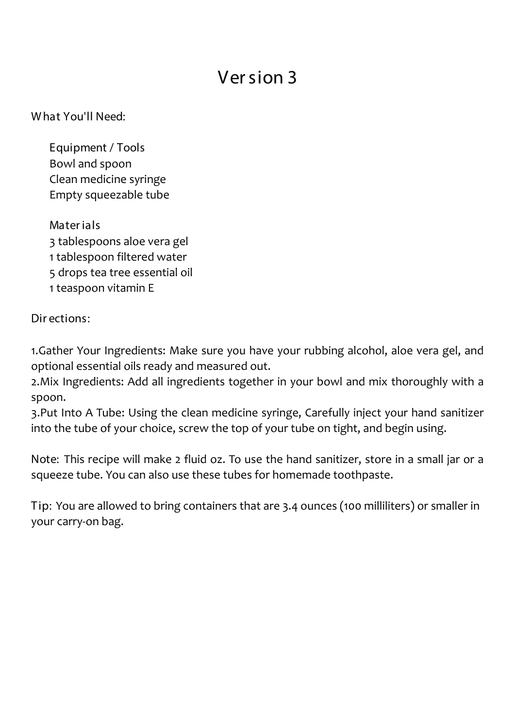W hat You'll Need:

Equipment / Tools Bowl and spoon Clean medicine syringe Empty squeezable tube

Mater ials 3 tablespoons aloe vera gel 1 tablespoon filtered water 5 drops tea tree essential oil 1 teaspoon vitamin E

### Dir ections:

1.Gather Your Ingredients: Make sure you have your rubbing alcohol, aloe vera gel, and optional essential oils ready and measured out.

2.Mix Ingredients: Add all ingredients together in your bowl and mix thoroughly with a spoon.

3.Put Into A Tube: Using the clean medicine syringe, Carefully inject your hand sanitizer into the tube of your choice, screw the top of your tube on tight, and begin using.

Note: This recipe will make 2 fluid oz. To use the hand sanitizer, store in a small jar or a squeeze tube. You can also use these tubes for homemade toothpaste.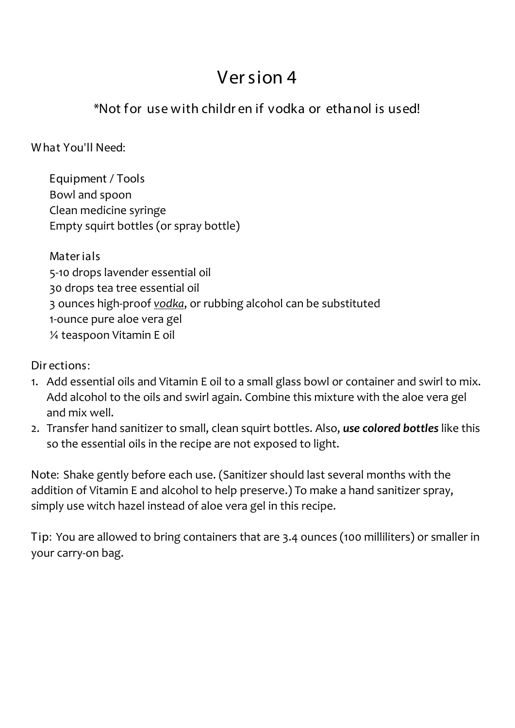### \*Not for use with children if yodka or ethanol is used!

What You'll Need:

Equipment / Tools Bowl and spoon Clean medicine syringe Empty squirt bottles (or spray bottle)

**Materials** 5-10 drops lavender essential oil 30 drops tea tree essential oil 3 ounces high-proof vodka, or rubbing alcohol can be substituted 1-ounce pure aloe vera gel 1/4 teaspoon Vitamin E oil

Dir ections:

- 1. Add essential oils and Vitamin E oil to a small glass bowl or container and swirl to mix. Add alcohol to the oils and swirl again. Combine this mixture with the aloe vera gel and mix well.
- 2. Transfer hand sanitizer to small, clean squirt bottles. Also, use colored bottles like this so the essential oils in the recipe are not exposed to light.

Note: Shake gently before each use. (Sanitizer should last several months with the addition of Vitamin E and alcohol to help preserve.) To make a hand sanitizer spray, simply use witch hazel instead of aloe vera gel in this recipe.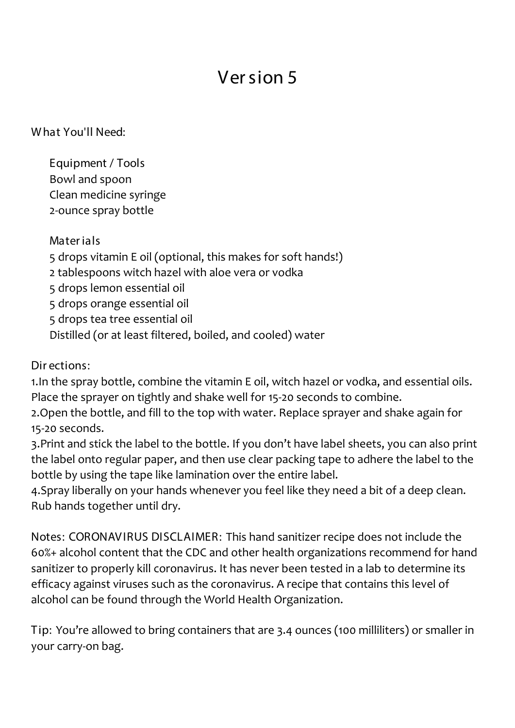W hat You'll Need:

Equipment / Tools Bowl and spoon Clean medicine syringe 2-ounce spray bottle

### Mater ials

5 drops vitamin E oil (optional, this makes for soft hands!)

2 tablespoons witch hazel with aloe vera or vodka

5 drops lemon essential oil

5 drops orange essential oil

5 drops tea tree essential oil

Distilled (or at least filtered, boiled, and cooled) water

### Dir ections:

1.In the spray bottle, combine the vitamin E oil, witch hazel or vodka, and essential oils. Place the sprayer on tightly and shake well for 15-20 seconds to combine.

2.Open the bottle, and fill to the top with water. Replace sprayer and shake again for 15-20 seconds.

3.Print and stick the label to the bottle. If you don't have label sheets, you can also print the label onto regular paper, and then use clear packing tape to adhere the label to the bottle by using the tape like lamination over the entire label.

4.Spray liberally on your hands whenever you feel like they need a bit of a deep clean. Rub hands together until dry.

Notes: CORONAV IRUS DISCLAIMER: This hand sanitizer recipe does not include the 60%+ alcohol content that the CDC and other health organizations recommend for hand sanitizer to properly kill coronavirus. It has never been tested in a lab to determine its efficacy against viruses such as the coronavirus. A recipe that contains this level of alcohol can be found through the World Health Organization.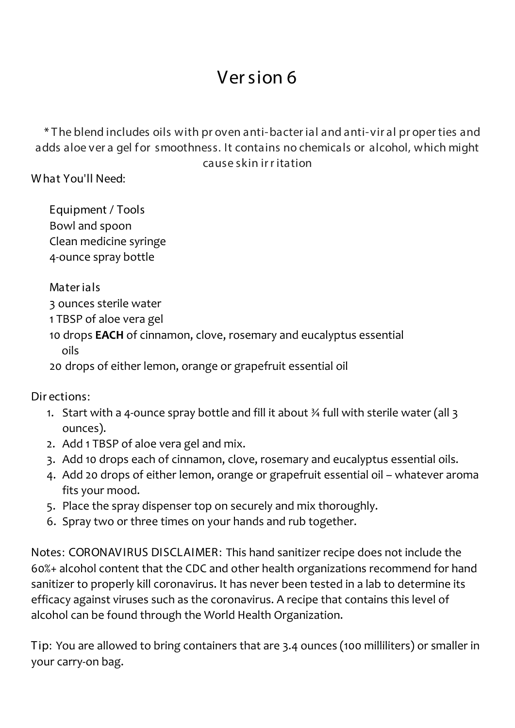\* T he blend includes oils with pr oven anti-bacter ial and anti-vir al pr oper ties and adds aloe ver a gel for smoothness. It contains no chemicals or alcohol, which might cause skin ir r itation

W hat You'll Need:

Equipment / Tools Bowl and spoon Clean medicine syringe 4-ounce spray bottle

Mater ials

3 ounces sterile water

1 TBSP of aloe vera gel

10 drops **EACH** of cinnamon, clove, rosemary and eucalyptus essential oils

20 drops of either lemon, orange or grapefruit essential oil

Dir ections:

- 1. Start with a 4-ounce spray bottle and fill it about ¾ full with sterile water (all 3 ounces).
- 2. Add 1 TBSP of aloe vera gel and mix.
- 3. Add 10 drops each of cinnamon, clove, rosemary and eucalyptus essential oils.
- 4. Add 20 drops of either lemon, orange or grapefruit essential oil whatever aroma fits your mood.
- 5. Place the spray dispenser top on securely and mix thoroughly.
- 6. Spray two or three times on your hands and rub together.

Notes: CORONAV IRUS DISCLAIMER: This hand sanitizer recipe does not include the 60%+ alcohol content that the CDC and other health organizations recommend for hand sanitizer to properly kill coronavirus. It has never been tested in a lab to determine its efficacy against viruses such as the coronavirus. A recipe that contains this level of alcohol can be found through the World Health Organization.